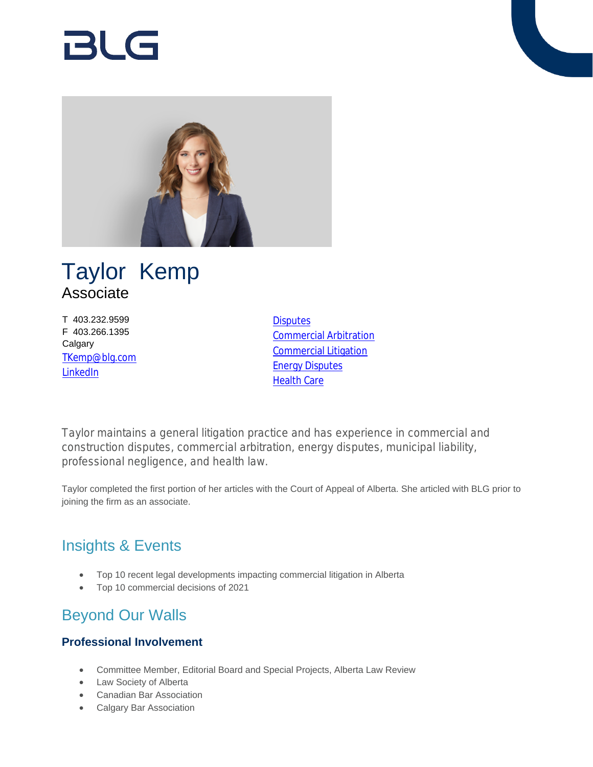# Bl G



# Taylor Kemp Associate

T 403.232.9599 F 403.266.1395 **Calgary** [TKemp@blg.com](mailto:TKemp@blg.com) [LinkedIn](https://www.linkedin.com/in/tkemp2/?originalSubdomain=ca )

**[Disputes](https://www.blg.com/en/services/practice-areas/disputes)** [Commercial Arbitration](https://www.blg.com/en/services/practice-areas/disputes/commercial-arbitration) [Commercial Litigation](https://www.blg.com/en/services/practice-areas/disputes/commercial-litigation) **[Energy Disputes](https://www.blg.com/en/services/practice-areas/disputes/energy-disputes)** [Health Care](https://www.blg.com/en/services/practice-areas/health-care)

Taylor maintains a general litigation practice and has experience in commercial and construction disputes, commercial arbitration, energy disputes, municipal liability, professional negligence, and health law.

Taylor completed the first portion of her articles with the Court of Appeal of Alberta. She articled with BLG prior to joining the firm as an associate.

# Insights & Events

- Top 10 recent legal developments impacting commercial litigation in Alberta
- Top 10 commercial decisions of 2021

# Beyond Our Walls

#### **Professional Involvement**

- Committee Member, Editorial Board and Special Projects, Alberta Law Review
- Law Society of Alberta
- Canadian Bar Association
- Calgary Bar Association